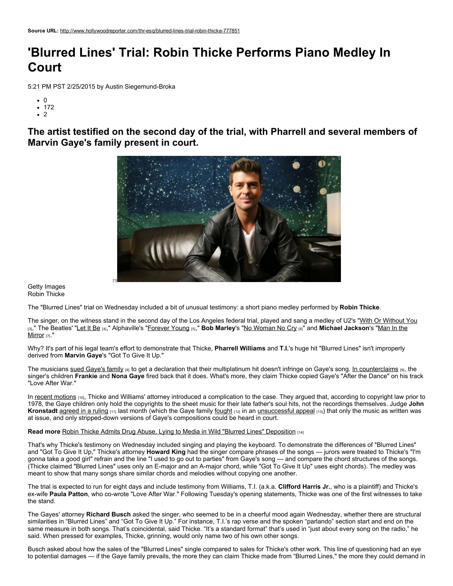## 'Blurred Lines' Trial: Robin Thicke Performs Piano Medley In Court

5:21 PM PST 2/25/2015 by Austin Siegemund-Broka

- $\cdot$  0
- $172$
- $\cdot$  2

The artist testified on the second day of the trial, with Pharrell and several members of Marvin Gaye's family present in court.



Getty Images Robin Thicke

The "Blurred Lines" trial on Wednesday included a bit of unusual testimony: a short piano medley performed by Robin Thicke.

The singer, on the witness stand in the second day of the Los Angeles federal trial, played and sang a medley of U2's "With Or [Without](https://www.youtube.com/watch?v=XmSdTa9kaiQ) You [3]," The Beatles' "[Let](https://www.youtube.com/watch?v=ajCYQL8ouqw) It Be [4]," [Alphaville's](https://www.youtube.com/watch?v=PivWY9wn5ps) ["Forever](https://www.youtube.com/watch?v=t1TcDHrkQYg) Young [5]," **Bob Marley's "No [Woman](https://www.youtube.com/watch?v=D3ISI_BY6lw) No Cry [6]" and Michael Jackson's "Man In the Mirror** [7]."

Why? It's part of his legal team's effort to demonstrate that Thicke, Pharrell Williams and T.I.'s huge hit "Blurred Lines" isn't improperly derived from Marvin Gaye's "Got To Give It Up."

The musicians sued [Gaye's](http://www.hollywoodreporter.com/thr-esq/robin-thicke-sues-protect-blurred-607492) family [8] to get a declaration that their multiplatinum hit doesn't infringe on Gaye's song. In [counterclaims](http://www.hollywoodreporter.com/thr-esq/blurred-lines-lawsuit-marvin-gaye-651427) [9], the singer's children Frankie and Nona Gaye fired back that it does. What's more, they claim Thicke copied Gaye's "After the Dance" on his track "Love After War."

In recent [motions](http://www.hollywoodreporter.com/thr-esq/will-a-jury-get-hear-761443) [10], Thicke and Williams' attorney introduced a complication to the case. They argued that, according to copyright law prior to 1978, the Gaye children only hold the copyrights to the sheet music for their late father's soul hits, not the recordings themselves. Judge John Kronstadt [agreed](http://www.hollywoodreporter.com/thr-esq/marvin-gayes-family-doubts-fair-767568) in a ruling [11] last month (which the Gaye family [fought](http://www.hollywoodreporter.com/thr-esq/marvin-gaye-family-seeks-blurred-768223) [12] in an [unsuccessful](http://www.hollywoodreporter.com/thr-esq/blurred-lines-trial-moving-forward-771088) appeal [13]) that only the music as written was at issue, and only stripped-down versions of Gaye's compositions could be heard in court.

Read more Robin Thicke Admits Drug Abuse, Lying to Media in Wild "Blurred Lines" [Deposition](http://www.hollywoodreporter.com/thr-esq/robin-thicke-admits-drug-abuse-732783) [14]

That's why Thicke's testimony on Wednesday included singing and playing the keyboard. To demonstrate the differences of "Blurred Lines" and "Got To Give It Up," Thicke's attorney Howard King had the singer compare phrases of the songs - jurors were treated to Thicke's "I'm gonna take a good girl" refrain and the line "I used to go out to parties" from Gaye's song — and compare the chord structures of the songs. (Thicke claimed "Blurred Lines" uses only an E-major and an A-major chord, while "Got To Give It Up" uses eight chords). The medley was meant to show that many songs share similar chords and melodies without copying one another.

The trial is expected to run for eight days and include testimony from Williams, T.I. (a.k.a. Clifford Harris Jr., who is a plaintiff) and Thicke's ex-wife Paula Patton, who co-wrote "Love After War." Following Tuesday's opening statements, Thicke was one of the first witnesses to take the stand.

The Gayes' attorney Richard Busch asked the singer, who seemed to be in a cheerful mood again Wednesday, whether there are structural similarities in "Blurred Lines" and "Got To Give It Up." For instance, T.I.'s rap verse and the spoken "parlando" section start and end on the same measure in both songs. That's coincidental, said Thicke. "It's a standard format" that's used in "just about every song on the radio," he said. When pressed for examples, Thicke, grinning, would only name two of his own other songs.

Busch asked about how the sales of the "Blurred Lines" single compared to sales for Thicke's other work. This line of questioning had an eye to potential damages — if the Gaye family prevails, the more they can claim Thicke made from "Blurred Lines," the more they could demand in